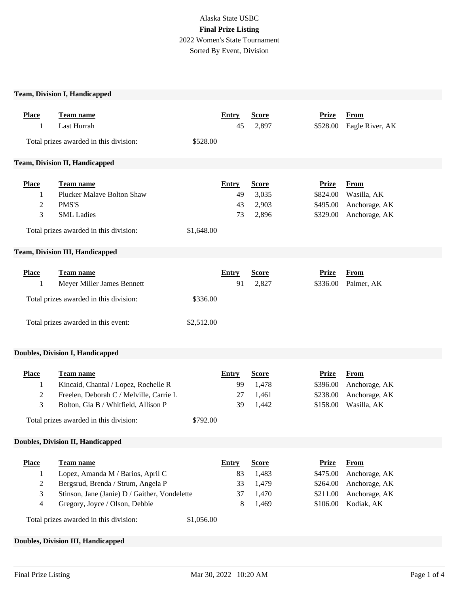# Alaska State USBC **Final Prize Listing** 2022 Women's State Tournament Sorted By Event, Division

## **Team, Division I, Handicapped**

| <b>Place</b><br>1                             | Team name<br>Last Hurrah                                                                                                                                                       |                        | <b>Entry</b><br>45                  | <b>Score</b><br>2,897                            | <b>Prize</b><br>\$528.00                                     | <b>From</b><br>Eagle River, AK                                               |
|-----------------------------------------------|--------------------------------------------------------------------------------------------------------------------------------------------------------------------------------|------------------------|-------------------------------------|--------------------------------------------------|--------------------------------------------------------------|------------------------------------------------------------------------------|
|                                               | Total prizes awarded in this division:                                                                                                                                         | \$528.00               |                                     |                                                  |                                                              |                                                                              |
|                                               | Team, Division II, Handicapped                                                                                                                                                 |                        |                                     |                                                  |                                                              |                                                                              |
| <b>Place</b><br>1<br>2<br>3                   | <b>Team name</b><br><b>Plucker Malave Bolton Shaw</b><br>PMS'S<br><b>SML</b> Ladies<br>Total prizes awarded in this division:                                                  | \$1,648.00             | <b>Entry</b><br>49<br>43<br>73      | <b>Score</b><br>3,035<br>2,903<br>2,896          | <b>Prize</b><br>\$824.00<br>\$495.00<br>\$329.00             | <b>From</b><br>Wasilla, AK<br>Anchorage, AK<br>Anchorage, AK                 |
|                                               | <b>Team, Division III, Handicapped</b>                                                                                                                                         |                        |                                     |                                                  |                                                              |                                                                              |
| <b>Place</b><br>1                             | Team name<br>Meyer Miller James Bennett<br>Total prizes awarded in this division:<br>Total prizes awarded in this event:                                                       | \$336.00<br>\$2,512.00 | <b>Entry</b><br>91                  | <b>Score</b><br>2,827                            | <b>Prize</b><br>\$336.00                                     | <b>From</b><br>Palmer, AK                                                    |
|                                               | <b>Doubles, Division I, Handicapped</b>                                                                                                                                        |                        |                                     |                                                  |                                                              |                                                                              |
| <b>Place</b><br>1<br>2<br>3                   | Team name<br>Kincaid, Chantal / Lopez, Rochelle R<br>Freelen, Deborah C / Melville, Carrie L<br>Bolton, Gia B / Whitfield, Allison P<br>Total prizes awarded in this division: | \$792.00               | <b>Entry</b><br>99<br>27<br>39      | <b>Score</b><br>1,478<br>1,461<br>1,442          | <b>Prize</b><br>\$396.00<br>\$238.00<br>\$158.00             | <b>From</b><br>Anchorage, AK<br>Anchorage, AK<br>Wasilla, AK                 |
|                                               | <b>Doubles, Division II, Handicapped</b>                                                                                                                                       |                        |                                     |                                                  |                                                              |                                                                              |
| <b>Place</b><br>1<br>$\overline{c}$<br>3<br>4 | Team name<br>Lopez, Amanda M / Barios, April C<br>Bergsrud, Brenda / Strum, Angela P<br>Stinson, Jane (Janie) D / Gaither, Vondelette<br>Gregory, Joyce / Olson, Debbie        |                        | <b>Entry</b><br>83<br>33<br>37<br>8 | <b>Score</b><br>1,483<br>1,479<br>1,470<br>1,469 | <b>Prize</b><br>\$475.00<br>\$264.00<br>\$211.00<br>\$106.00 | <b>From</b><br>Anchorage, AK<br>Anchorage, AK<br>Anchorage, AK<br>Kodiak, AK |
|                                               | Total prizes awarded in this division:                                                                                                                                         | \$1,056.00             |                                     |                                                  |                                                              |                                                                              |

## **Doubles, Division III, Handicapped**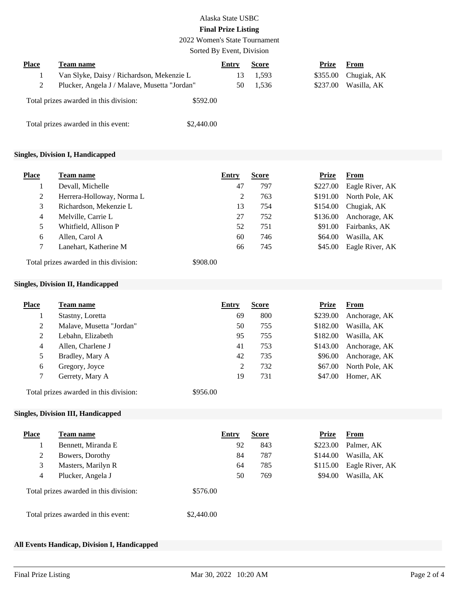## Alaska State USBC **Final Prize Listing**

2022 Women's State Tournament

#### Sorted By Event, Division

| <b>Place</b> | Team name                                    | Entry    | <b>Score</b> | Prize    | From        |
|--------------|----------------------------------------------|----------|--------------|----------|-------------|
|              | Van Slyke, Daisy / Richardson, Mekenzie L    | 13       | 1,593        | \$355.00 | Chugiak, AK |
|              | Plucker, Angela J / Malave, Musetta "Jordan" | 50       | 1.536        | \$237.00 | Wasilla, AK |
|              | Total prizes awarded in this division:       | \$592.00 |              |          |             |

Total prizes awarded in this event: \$2,440.00

#### **Singles, Division I, Handicapped**

| <b>Place</b> | Team name                              | <b>Entry</b> | <b>Score</b> | <b>Prize</b> | <b>From</b>     |
|--------------|----------------------------------------|--------------|--------------|--------------|-----------------|
|              | Devall, Michelle                       | 47           | 797          | \$227.00     | Eagle River, AK |
| 2            | Herrera-Holloway, Norma L              | 2            | 763          | \$191.00     | North Pole, AK  |
| 3            | Richardson, Mekenzie L                 | 13           | 754          | \$154.00     | Chugiak, AK     |
| 4            | Melville, Carrie L                     | 27           | 752          | \$136.00     | Anchorage, AK   |
| 5            | Whitfield, Allison P                   | 52           | 751          | \$91.00      | Fairbanks, AK   |
| 6            | Allen, Carol A                         | 60           | 746          | \$64.00      | Wasilla, AK     |
| 7            | Lanehart, Katherine M                  | 66           | 745          | \$45.00      | Eagle River, AK |
|              | Total prizes awarded in this division: | \$908.00     |              |              |                 |

#### **Singles, Division II, Handicapped**

| Place | Team name                | Entry | <b>Score</b> | <b>Prize</b> | <b>From</b>    |
|-------|--------------------------|-------|--------------|--------------|----------------|
|       | Stastny, Loretta         | 69    | 800          | \$239.00     | Anchorage, AK  |
| 2     | Malave, Musetta "Jordan" | 50    | 755          | \$182.00     | Wasilla, AK    |
| 2     | Lebahn, Elizabeth        | 95    | 755          | \$182.00     | Wasilla, AK    |
| 4     | Allen, Charlene J        | 41    | 753          | \$143.00     | Anchorage, AK  |
| 5     | Bradley, Mary A          | 42    | 735          | \$96.00      | Anchorage, AK  |
| 6     | Gregory, Joyce           | 2     | 732          | \$67.00      | North Pole, AK |
|       | Gerrety, Mary A          | 19    | 731          | \$47.00      | Homer, AK      |

Total prizes awarded in this division: \$956.00

## **Singles, Division III, Handicapped**

| <b>Place</b>   | Team name                              | Entry      |    | <b>Score</b> | <b>Prize</b> | <b>From</b>     |
|----------------|----------------------------------------|------------|----|--------------|--------------|-----------------|
|                | Bennett, Miranda E                     |            | 92 | 843          | \$223.00     | Palmer, AK      |
| 2              | Bowers, Dorothy                        |            | 84 | 787          | \$144.00     | Wasilla, AK     |
| 3              | Masters, Marilyn R                     |            | 64 | 785          | \$115.00     | Eagle River, AK |
| $\overline{4}$ | Plucker, Angela J                      |            | 50 | 769          | \$94.00      | Wasilla, AK     |
|                | Total prizes awarded in this division: | \$576.00   |    |              |              |                 |
|                | Total prizes awarded in this event:    | \$2,440.00 |    |              |              |                 |

## **All Events Handicap, Division I, Handicapped**

**Place Team name Entry Score Prize From**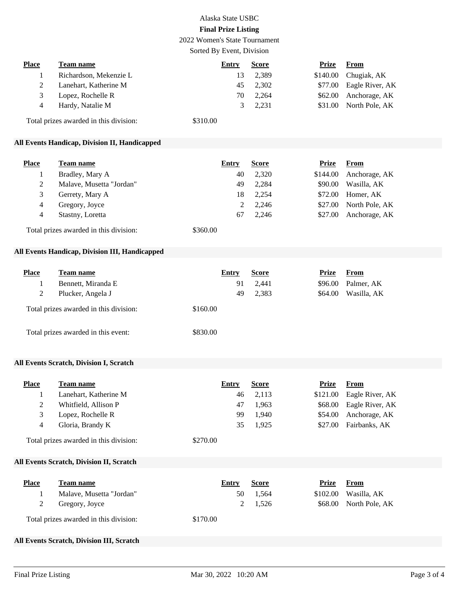## Alaska State USBC **Final Prize Listing**

2022 Women's State Tournament

Sorted By Event, Division

| Place | Team name              | Entry           | <b>Score</b> | <b>Prize</b> | <b>From</b>             |
|-------|------------------------|-----------------|--------------|--------------|-------------------------|
|       | Richardson, Mekenzie L | 13              | 2,389        |              | $$140.00$ Chugiak, AK   |
|       | Lanehart, Katherine M  | 45              | 2,302        |              | \$77.00 Eagle River, AK |
|       | Lopez, Rochelle R      | 70              | 2,264        |              | \$62.00 Anchorage, AK   |
| 4     | Hardy, Natalie M       | $\mathcal{R}^-$ | 2.231        |              | $$31.00$ North Pole, AK |
|       |                        |                 |              |              |                         |

Total prizes awarded in this division: \$310.00

## **All Events Handicap, Division II, Handicapped**

| Place | Team name                | Entry | <b>Score</b> | Prize    | From           |
|-------|--------------------------|-------|--------------|----------|----------------|
|       | Bradley, Mary A          | 40    | 2,320        | \$144.00 | Anchorage, AK  |
|       | Malave, Musetta "Jordan" | 49    | 2.284        | \$90.00  | Wasilla, AK    |
|       | Gerrety, Mary A          | 18    | 2,254        | \$72.00  | Homer, AK      |
| 4     | Gregory, Joyce           |       | 2.246        | \$27.00  | North Pole, AK |
| 4     | Stastny, Loretta         | 67    | 2.246        | \$27.00  | Anchorage, AK  |
|       |                          |       |              |          |                |

Total prizes awarded in this division: \$360.00

## **All Events Handicap, Division III, Handicapped**

| <b>Place</b> | Team name                              | Entry    | <b>Score</b> | <b>Prize</b> | From        |
|--------------|----------------------------------------|----------|--------------|--------------|-------------|
|              | Bennett, Miranda E                     | 91       | 2,441        | \$96.00      | Palmer, AK  |
| 2            | Plucker, Angela J                      | 49       | 2,383        | \$64.00      | Wasilla, AK |
|              | Total prizes awarded in this division: | \$160.00 |              |              |             |
|              | Total prizes awarded in this event:    | \$830.00 |              |              |             |

#### **All Events Scratch, Division I, Scratch**

| <b>Place</b> | Team name             | Entry | <b>Score</b> | Prize    | <b>From</b>             |
|--------------|-----------------------|-------|--------------|----------|-------------------------|
|              | Lanehart, Katherine M | 46    | 2,113        | \$121.00 | Eagle River, AK         |
|              | Whitfield, Allison P  | 47    | 1,963        |          | \$68.00 Eagle River, AK |
|              | Lopez, Rochelle R     | 99.   | 1.940        | \$54.00  | Anchorage, AK           |
|              | Gloria, Brandy K      | 35    | 1.925        | \$27.00  | Fairbanks, AK           |
|              |                       |       |              |          |                         |

Total prizes awarded in this division: \$270.00

## **All Events Scratch, Division II, Scratch**

| Place | Team name                              | Entry    | <b>Score</b> | Prize | From                   |
|-------|----------------------------------------|----------|--------------|-------|------------------------|
|       | Malave, Musetta "Jordan"               | 50       | 1.564        |       | $$102.00$ Wasilla, AK  |
|       | Gregory, Joyce                         |          | 2 1.526      |       | \$68.00 North Pole, AK |
|       | Total prizes awarded in this division: | \$170.00 |              |       |                        |

#### **All Events Scratch, Division III, Scratch**